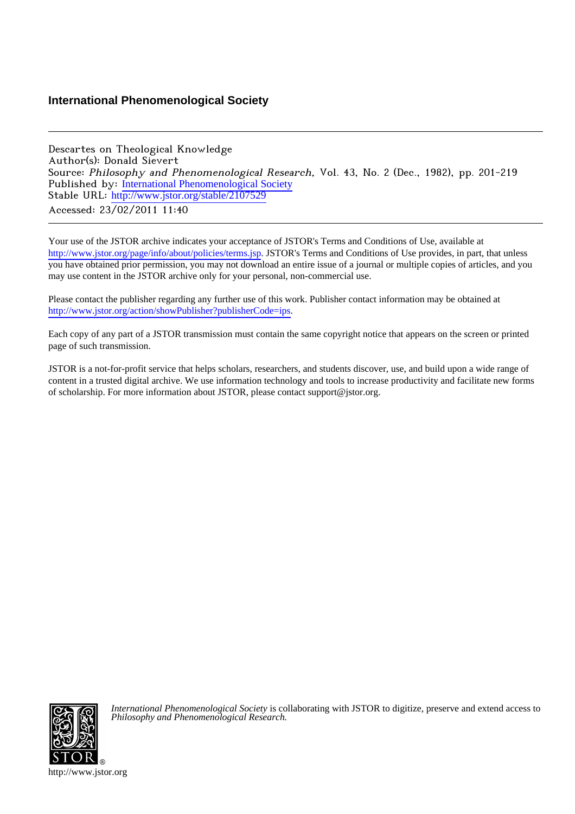# **International Phenomenological Society**

Descartes on Theological Knowledge Author(s): Donald Sievert Source: Philosophy and Phenomenological Research, Vol. 43, No. 2 (Dec., 1982), pp. 201-219 Published by: [International Phenomenological Society](http://www.jstor.org/action/showPublisher?publisherCode=ips) Stable URL: [http://www.jstor.org/stable/2107529](http://www.jstor.org/stable/2107529?origin=JSTOR-pdf) Accessed: 23/02/2011 11:40

Your use of the JSTOR archive indicates your acceptance of JSTOR's Terms and Conditions of Use, available at <http://www.jstor.org/page/info/about/policies/terms.jsp>. JSTOR's Terms and Conditions of Use provides, in part, that unless you have obtained prior permission, you may not download an entire issue of a journal or multiple copies of articles, and you may use content in the JSTOR archive only for your personal, non-commercial use.

Please contact the publisher regarding any further use of this work. Publisher contact information may be obtained at [http://www.jstor.org/action/showPublisher?publisherCode=ips.](http://www.jstor.org/action/showPublisher?publisherCode=ips)

Each copy of any part of a JSTOR transmission must contain the same copyright notice that appears on the screen or printed page of such transmission.

JSTOR is a not-for-profit service that helps scholars, researchers, and students discover, use, and build upon a wide range of content in a trusted digital archive. We use information technology and tools to increase productivity and facilitate new forms of scholarship. For more information about JSTOR, please contact support@jstor.org.



*International Phenomenological Society* is collaborating with JSTOR to digitize, preserve and extend access to *Philosophy and Phenomenological Research.*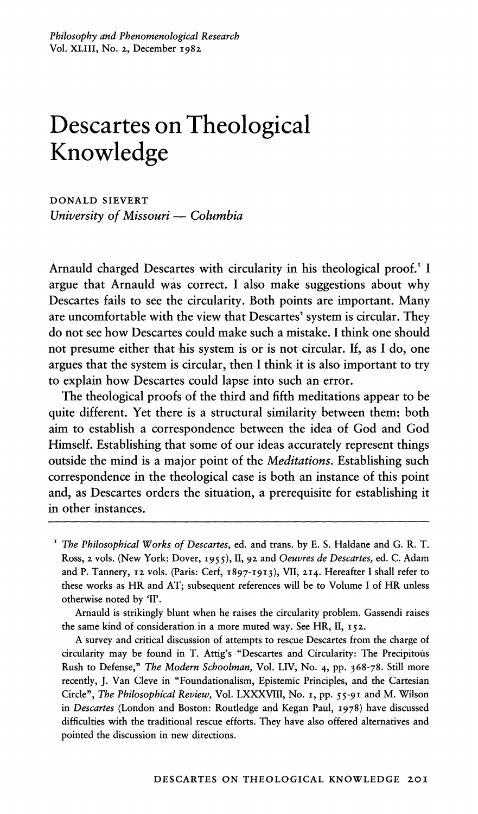# **Descartes on Theological Knowledge**

**DONALD SIEVERT University of Missouri - Columbia** 

**Arnauld charged Descartes with circularity in his theological proof.' I argue that Arnauld was correct. I also make suggestions about why Descartes fails to see the circularity. Both points are important. Many are uncomfortable with the view that Descartes' system is circular. They do not see how Descartes could make such a mistake. I think one should not presume either that his system is or is not circular. If, as I do, one argues that the system is circular, then I think it is also important to try to explain how Descartes could lapse into such an error.** 

**The theological proofs of the third and fifth meditations appear to be quite different. Yet there is a structural similarity between them: both aim to establish a correspondence between the idea of God and God Himself. Establishing that some of our ideas accurately represent things outside the mind is a major point of the Meditations. Establishing such correspondence in the theological case is both an instance of this point and, as Descartes orders the situation, a prerequisite for establishing it in other instances.** 

**Arnauld is strikingly blunt when he raises the circularity problem. Gassendi raises the same kind of consideration in a more muted way. See HR, II, 152.** 

**A survey and critical discussion of attempts to rescue Descartes from the charge of circularity may be found in T. Attig's "Descartes and Circularity: The Precipitous Rush to Defense," The Modern Schoolman, Vol. LIV, No. 4, pp. 368-78. Still more recently, J. Van Cleve in "Foundationalism, Epistemic Principles, and the Cartesian Circle", The Philosophical Review, Vol. LXXXVIII, No. I, pp. 55-9i and M. Wilson in Descartes (London and Boston: Routledge and Kegan Paul, 1978) have discussed difficulties with the traditional rescue efforts. They have also offered alternatives and pointed the discussion in new directions.** 

**The Philosophical Works of Descartes, ed. and trans. by E. S. Haldane and G. R. T. Ross, z vols. (New York: Dover, 195 5), II, 92 and Oeuvres de Descartes, ed. C. Adam**  and P. Tannery, 12 vols. (Paris: Cerf, 1897-1913), VII, 214. Hereafter I shall refer to **these works as HR and AT; subsequent references will be to Volume I of HR unless otherwise noted by 'II'.**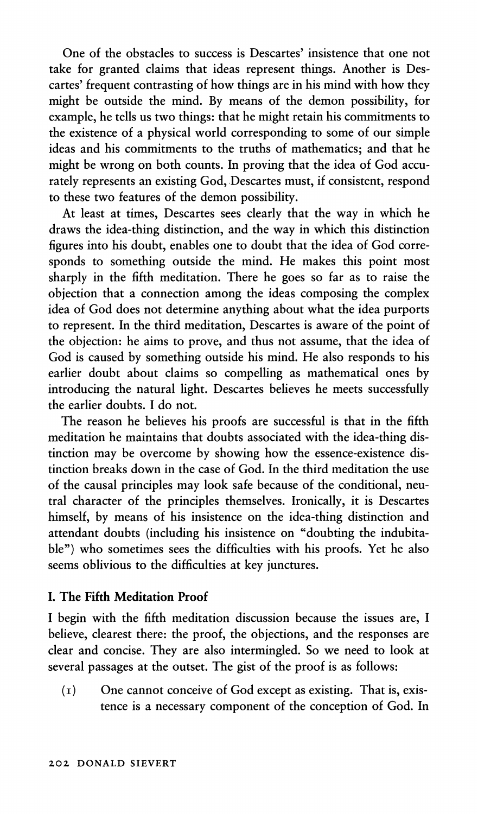**One of the obstacles to success is Descartes' insistence that one not take for granted claims that ideas represent things. Another is Descartes' frequent contrasting of how things are in his mind with how they might be outside the mind. By means of the demon possibility, for example, he tells us two things: that he might retain his commitments to the existence of a physical world corresponding to some of our simple ideas and his commitments to the truths of mathematics; and that he might be wrong on both counts. In proving that the idea of God accurately represents an existing God, Descartes must, if consistent, respond to these two features of the demon possibility.** 

**At least at times, Descartes sees clearly that the way in which he draws the idea-thing distinction, and the way in which this distinction figures into his doubt, enables one to doubt that the idea of God corresponds to something outside the mind. He makes this point most sharply in the fifth meditation. There he goes so far as to raise the objection that a connection among the ideas composing the complex idea of God does not determine anything about what the idea purports to represent. In the third meditation, Descartes is aware of the point of the objection: he aims to prove, and thus not assume, that the idea of God is caused by something outside his mind. He also responds to his earlier doubt about claims so compelling as mathematical ones by introducing the natural light. Descartes believes he meets successfully the earlier doubts. I do not.** 

**The reason he believes his proofs are successful is that in the fifth meditation he maintains that doubts associated with the idea-thing distinction may be overcome by showing how the essence-existence distinction breaks down in the case of God. In the third meditation the use of the causal principles may look safe because of the conditional, neutral character of the principles themselves. Ironically, it is Descartes himself, by means of his insistence on the idea-thing distinction and attendant doubts (including his insistence on "doubting the indubitable") who sometimes sees the difficulties with his proofs. Yet he also seems oblivious to the difficulties at key junctures.** 

### **I. The Fifth Meditation Proof**

**I begin with the fifth meditation discussion because the issues are, I believe, clearest there: the proof, the objections, and the responses are clear and concise. They are also intermingled. So we need to look at several passages at the outset. The gist of the proof is as follows:** 

**(I) One cannot conceive of God except as existing. That is, existence is a necessary component of the conception of God. In**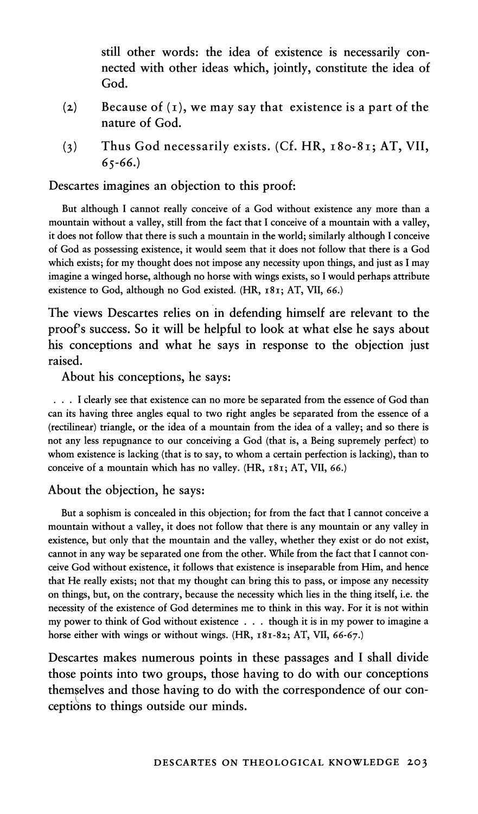**still other words: the idea of existence is necessarily connected with other ideas which, jointly, constitute the idea of God.** 

- **(z) Because of (i), we may say that existence is a part of the nature of God.**
- **(3) Thus God necessarily exists. (Cf. HR, i8o-8i; AT, VII, 65-66.)**

**Descartes imagines an objection to this proof:** 

**But although I cannot really conceive of a God without existence any more than a mountain without a valley, still from the fact that I conceive of a mountain with a valley, it does not follow that there is such a mountain in the world; similarly although I conceive of God as possessing existence, it would seem that it does not follow that there is a God which exists; for my thought does not impose any necessity upon things, and just as I may imagine a winged horse, although no horse with wings exists, so I would perhaps attribute existence to God, although no God existed. (HR, i8i; AT, VII, 66.)** 

**The views Descartes relies on in defending himself are relevant to the proof's success. So it will be helpful to look at what else he says about his conceptions and what he says in response to the objection just raised.** 

**About his conceptions, he says:** 

**I clearly see that existence can no more be separated from the essence of God than can its having three angles equal to two right angles be separated from the essence of a (rectilinear) triangle, or the idea of a mountain from the idea of a valley; and so there is not any less repugnance to our conceiving a God (that is, a Being supremely perfect) to whom existence is lacking (that is to say, to whom a certain perfection is lacking), than to conceive of a mountain which has no valley. (HR, i8i; AT, VII, 66.)** 

#### **About the objection, he says:**

**But a sophism is concealed in this objection; for from the fact that I cannot conceive a mountain without a valley, it does not follow that there is any mountain or any valley in existence, but only that the mountain and the valley, whether they exist or do not exist, cannot in any way be separated one from the other. While from the fact that I cannot conceive God without existence, it follows that existence is inseparable from Him, and hence that He really exists; not that my thought can bring this to pass, or impose any necessity on things, but, on the contrary, because the necessity which lies in the thing itself, i.e. the necessity of the existence of God determines me to think in this way. For it is not within my power to think of God without existence . . . though it is in my power to imagine a horse either with wings or without wings. (HR, i 8i-8z; AT, VII, 66-67.)** 

**Descartes makes numerous points in these passages and I shall divide those points into two groups, those having to do with our conceptions themselves and those having to do with the correspondence of our conceptions to things outside our minds.**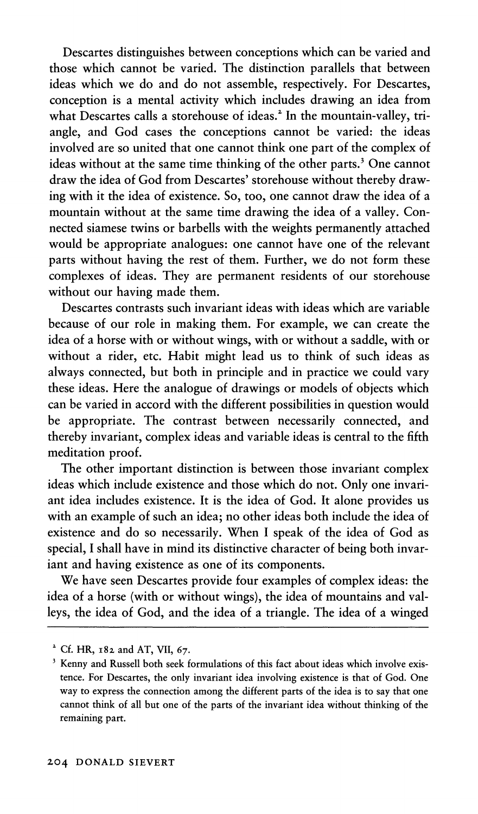**Descartes distinguishes between conceptions which can be varied and those which cannot be varied. The distinction parallels that between ideas which we do and do not assemble, respectively. For Descartes, conception is a mental activity which includes drawing an idea from**  what Descartes calls a storehouse of ideas.<sup>2</sup> In the mountain-valley, tri**angle, and God cases the conceptions cannot be varied: the ideas involved are so united that one cannot think one part of the complex of ideas without at the same time thinking of the other parts.3 One cannot draw the idea of God from Descartes' storehouse without thereby drawing with it the idea of existence. So, too, one cannot draw the idea of a mountain without at the same time drawing the idea of a valley. Connected siamese twins or barbells with the weights permanently attached would be appropriate analogues: one cannot have one of the relevant parts without having the rest of them. Further, we do not form these complexes of ideas. They are permanent residents of our storehouse without our having made them.** 

**Descartes contrasts such invariant ideas with ideas which are variable because of our role in making them. For example, we can create the idea of a horse with or without wings, with or without a saddle, with or without a rider, etc. Habit might lead us to think of such ideas as always connected, but both in principle and in practice we could vary these ideas. Here the analogue of drawings or models of objects which can be varied in accord with the different possibilities in question would be appropriate. The contrast between necessarily connected, and thereby invariant, complex ideas and variable ideas is central to the fifth meditation proof.** 

**The other important distinction is between those invariant complex ideas which include existence and those which do not. Only one invariant idea includes existence. It is the idea of God. It alone provides us with an example of such an idea; no other ideas both include the idea of existence and do so necessarily. When I speak of the idea of God as special, I shall have in mind its distinctive character of being both invariant and having existence as one of its components.** 

**We have seen Descartes provide four examples of complex ideas: the idea of a horse (with or without wings), the idea of mountains and valleys, the idea of God, and the idea of a triangle. The idea of a winged** 

**X Cf. HR, i8z and AT, VII, 67.** 

**<sup>3</sup> Kenny and Russell both seek formulations of this fact about ideas which involve existence. For Descartes, the only invariant idea involving existence is that of God. One way to express the connection among the different parts of the idea is to say that one cannot think of all but one of the parts of the invariant idea without thinking of the remaining part.**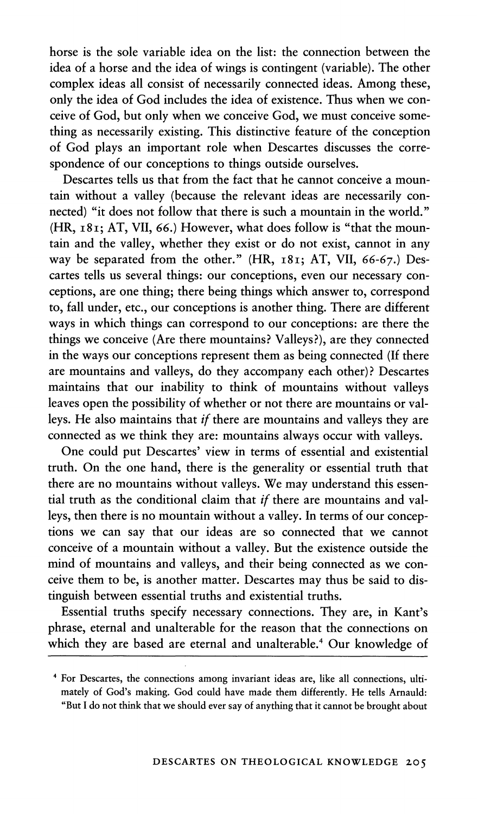**horse is the sole variable idea on the list: the connection between the idea of a horse and the idea of wings is contingent (variable). The other complex ideas all consist of necessarily connected ideas. Among these, only the idea of God includes the idea of existence. Thus when we conceive of God, but only when we conceive God, we must conceive something as necessarily existing. This distinctive feature of the conception of God plays an important role when Descartes discusses the correspondence of our conceptions to things outside ourselves.** 

**Descartes tells us that from the fact that he cannot conceive a mountain without a valley (because the relevant ideas are necessarily connected) "it does not follow that there is such a mountain in the world." (HR, i 8 i; AT, VII, 66.) However, what does follow is "that the mountain and the valley, whether they exist or do not exist, cannot in any way be separated from the other." (HR, i8i; AT, VII, 66-67.) Descartes tells us several things: our conceptions, even our necessary conceptions, are one thing; there being things which answer to, correspond to, fall under, etc., our conceptions is another thing. There are different ways in which things can correspond to our conceptions: are there the things we conceive (Are there mountains? Valleys?), are they connected in the ways our conceptions represent them as being connected (If there are mountains and valleys, do they accompany each other)? Descartes maintains that our inability to think of mountains without valleys leaves open the possibility of whether or not there are mountains or valleys. He also maintains that if there are mountains and valleys they are connected as we think they are: mountains always occur with valleys.** 

**One could put Descartes' view in terms of essential and existential truth. On the one hand, there is the generality or essential truth that there are no mountains without valleys. We may understand this essential truth as the conditional claim that if there are mountains and valleys, then there is no mountain without a valley. In terms of our conceptions we can say that our ideas are so connected that we cannot conceive of a mountain without a valley. But the existence outside the mind of mountains and valleys, and their being connected as we conceive them to be, is another matter. Descartes may thus be said to distinguish between essential truths and existential truths.** 

**Essential truths specify necessary connections. They are, in Kant's phrase, eternal and unalterable for the reason that the connections on which they are based are eternal and unalterable.4 Our knowledge of** 

**<sup>4</sup> For Descartes, the connections among invariant ideas are, like all connections, ultimately of God's making. God could have made them differently. He tells Arnauld: "But I do not think that we should ever say of anything that it cannot be brought about**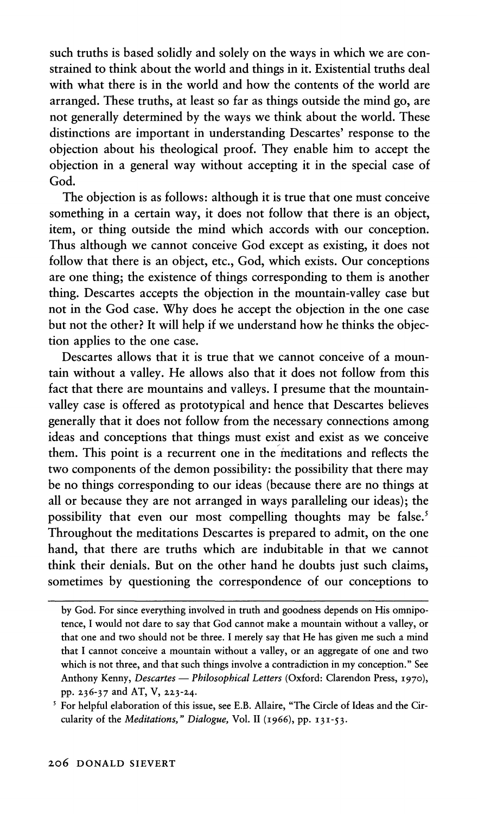**such truths is based solidly and solely on the ways in which we are constrained to think about the world and things in it. Existential truths deal with what there is in the world and how the contents of the world are arranged. These truths, at least so far as things outside the mind go, are not generally determined by the ways we think about the world. These distinctions are important in understanding Descartes' response to the objection about his theological proof. They enable him to accept the objection in a general way without accepting it in the special case of God.** 

**The objection is as follows: although it is true that one must conceive something in a certain way, it does not follow that there is an object, item, or thing outside the mind which accords with our conception. Thus although we cannot conceive God except as existing, it does not follow that there is an object, etc., God, which exists. Our conceptions are one thing; the existence of things corresponding to them is another thing. Descartes accepts the objection in the mountain-valley case but not in the God case. Why does he accept the objection in the one case but not the other? It will help if we understand how he thinks the objection applies to the one case.** 

**Descartes allows that it is true that we cannot conceive of a mountain without a valley. He allows also that it does not follow from this fact that there are mountains and valleys. I presume that the mountainvalley case is offered as prototypical and hence that Descartes believes generally that it does not follow from the necessary connections among ideas and conceptions that things must exist and exist as we conceive them. This point is a recurrent one in the meditations and reflects the two components of the demon possibility: the possibility that there may be no things corresponding to our ideas (because there are no things at all or because they are not arranged in ways paralleling our ideas); the possibility that even our most compelling thoughts may be false.5 Throughout the meditations Descartes is prepared to admit, on the one hand, that there are truths which are indubitable in that we cannot think their denials. But on the other hand he doubts just such claims, sometimes by questioning the correspondence of our conceptions to** 

**by God. For since everything involved in truth and goodness depends on His omnipotence, I would not dare to say that God cannot make a mountain without a valley, or that one and two should not be three. I merely say that He has given me such a mind that I cannot conceive a mountain without a valley, or an aggregate of one and two which is not three, and that such things involve a contradiction in my conception." See Anthony Kenny, Descartes - Philosophical Letters (Oxford: Clarendon Press, 1970), pp. 236-37 and AT, V, 223-24.** 

**<sup>5</sup> For helpful elaboration of this issue, see E.B. Allaire, "The Circle of Ideas and the Circularity of the Meditations," Dialogue, Vol. II (i966), pp. 131-53.**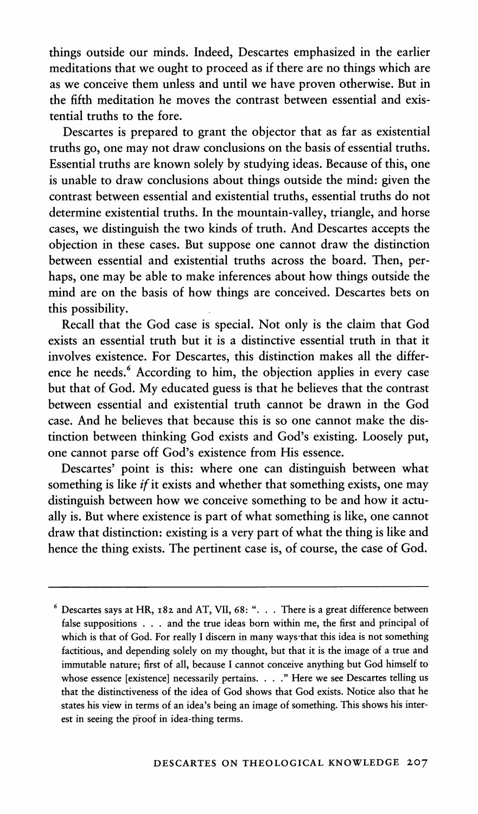**things outside our minds. Indeed, Descartes emphasized in the earlier meditations that we ought to proceed as if there are no things which are as we conceive them unless and until we have proven otherwise. But in the fifth meditation he moves the contrast between essential and existential truths to the fore.** 

**Descartes is prepared to grant the objector that as far as existential truths go, one may not draw conclusions on the basis of essential truths. Essential truths are known solely by studying ideas. Because of this, one is unable to draw conclusions about things outside the mind: given the contrast between essential and existential truths, essential truths do not determine existential truths. In the mountain-valley, triangle, and horse cases, we distinguish the two kinds of truth. And Descartes accepts the objection in these cases. But suppose one cannot draw the distinction between essential and existential truths across the board. Then, perhaps, one may be able to make inferences about how things outside the mind are on the basis of how things are conceived. Descartes bets on this possibility.** 

**Recall that the God case is special. Not only is the claim that God exists an essential truth but it is a distinctive essential truth in that it involves existence. For Descartes, this distinction makes all the difference he needs.' According to him, the objection applies in every case but that of God. My educated guess is that he believes that the contrast between essential and existential truth cannot be drawn in the God case. And he believes that because this is so one cannot make the distinction between thinking God exists and God's existing. Loosely put, one cannot parse off God's existence from His essence.** 

**Descartes' point is this: where one can distinguish between what something is like if it exists and whether that something exists, one may distinguish between how we conceive something to be and how it actually is. But where existence is part of what something is like, one cannot draw that distinction: existing is a very part of what the thing is like and hence the thing exists. The pertinent case is, of course, the case of God.** 

**<sup>6</sup>Descartes says at HR, i82 and AT, VII, 68: ". . . There is a great difference between false suppositions . . . and the true ideas born within me, the first and principal of which is that of God. For really I discern in many ways-that this idea is not something factitious, and depending solely on my thought, but that it is the image of a true and immutable nature; first of all, because I cannot conceive anything but God himself to whose essence [existence] necessarily pertains...." Here we see Descartes telling us that the distinctiveness of the idea of God shows that God exists. Notice also that he states his view in terms of an idea's being an image of something. This shows his interest in seeing the proof in idea-thing terms.**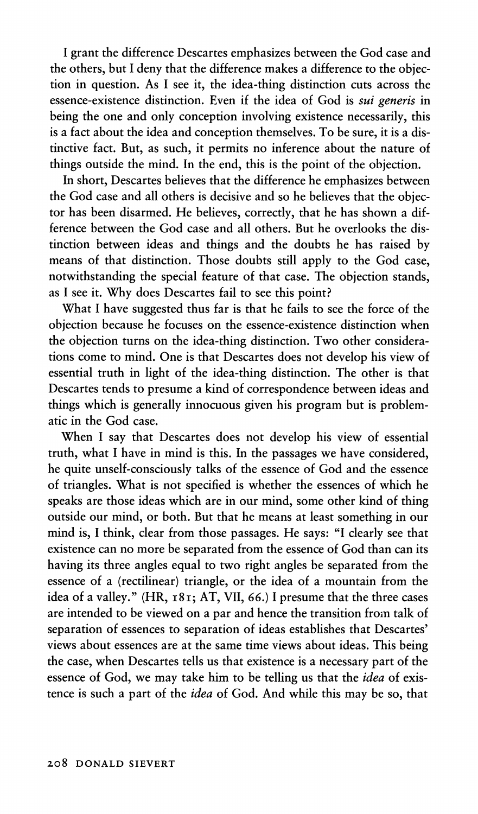**I grant the difference Descartes emphasizes between the God case and the others, but I deny that the difference makes a difference to the objection in question. As I see it, the idea-thing distinction cuts across the essence-existence distinction. Even if the idea of God is sui generis in being the one and only conception involving existence necessarily, this is a fact about the idea and conception themselves. To be sure, it is a distinctive fact. But, as such, it permits no inference about the nature of things outside the mind. In the end, this is the point of the objection.** 

**In short, Descartes believes that the difference he emphasizes between the God case and all others is decisive and so he believes that the objector has been disarmed. He believes, correctly, that he has shown a difference between the God case and all others. But he overlooks the distinction between ideas and things and the doubts he has raised by means of that distinction. Those doubts still apply to the God case, notwithstanding the special feature of that case. The objection stands, as I see it. Why does Descartes fail to see this point?** 

**What I have suggested thus far is that he fails to see the force of the objection because he focuses on the essence-existence distinction when the objection turns on the idea-thing distinction. Two other considerations come to mind. One is that Descartes does not develop his view of essential truth in light of the idea-thing distinction. The other is that Descartes tends to presume a kind of correspondence between ideas and things which is generally innocuous given his program but is problematic in the God case.** 

**When I say that Descartes does not develop his view of essential truth, what I have in mind is this. In the passages we have considered, he quite unself-consciously talks of the essence of God and the essence of triangles. What is not specified is whether the essences of which he speaks are those ideas which are in our mind, some other kind of thing outside our mind, or both. But that he means at least something in our mind is, I think, clear from those passages. He says: "I clearly see that existence can no more be separated from the essence of God than can its having its three angles equal to two right angles be separated from the essence of a (rectilinear) triangle, or the idea of a mountain from the idea of a valley." (HR, i 8 i; AT, VII, 66.) I presume that the three cases**  are intended to be viewed on a par and hence the transition from talk of **separation of essences to separation of ideas establishes that Descartes' views about essences are at the same time views about ideas. This being the case, when Descartes tells us that existence is a necessary part of the essence of God, we may take him to be telling us that the idea of existence is such a part of the idea of God. And while this may be so, that**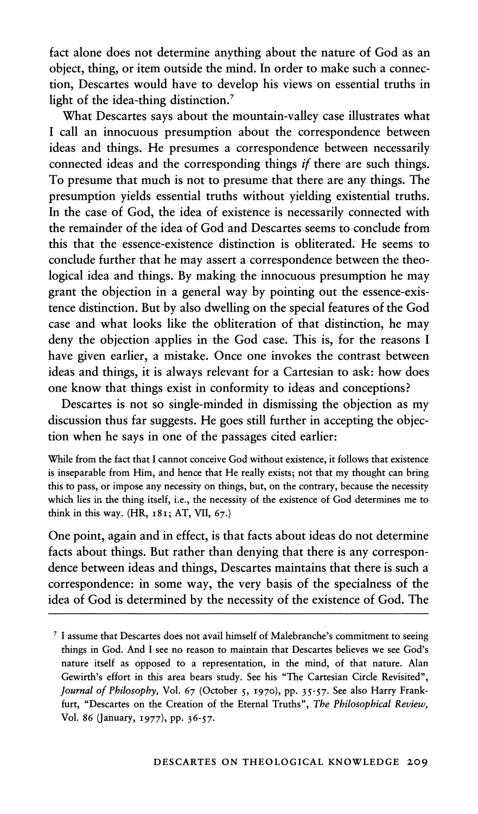**fact alone does not determine anything about the nature of God as an object, thing, or item outside the mind. In order to make such a connection, Descartes would have to develop his views on essential truths in light of the idea-thing distinction.7** 

**What Descartes says about the mountain-valley case illustrates what I call an innocuous presumption about the correspondence between ideas and things. He presumes a correspondence between necessarily connected ideas and the corresponding things if there are such things. To presume that much is not to presume that there are any things. The presumption yields essential truths without yielding existential truths. In the case of God, the idea of existence is necessarily connected with the remainder of the idea of God and Descartes seems to conclude from this that the essence-existence distinction is obliterated. He seems to conclude further that he may assert a correspondence between the theological idea and things. By making the innocuous presumption he may grant the objection in a general way by pointing out the essence-existence distinction. But by also dwelling on the special features of the God case and what looks like the obliteration of that distinction, he may deny the objection applies in the God case. This is, for the reasons I have given earlier, a mistake. Once one invokes the contrast between ideas and things, it is always relevant for a Cartesian to ask: how does one know that things exist in conformity to ideas and conceptions?** 

**Descartes is not so single-minded iii dismissing the objection as my discussion thus far suggests. He goes still further in accepting the objection when he says in one of the passages cited earlier:** 

**While from the fact that I cannot conceive God without existence, it follows that existence is inseparable from Him, and hence that He really exists; not that my thought can bring this to pass, or impose any necessity on things, but, on the contrary, because the necessity which lies in the thing itself, i.e., the necessity of the existence of God determines me to think in this way. (HR, i8i; AT, VII, 67.)** 

**One point, again and in effect, is that facts about ideas do not determine facts about things. But rather than denying that there is any correspondence between ideas and things, Descartes maintains that there is such a correspondence: in some way, the very basis of the specialness of the idea of God is determined by the necessity of the existence of God. The** 

**<sup>7</sup>I assume that Descartes does not avail himself of Malebranche's commitment to seeing things in God. And I see no reason to maintain that Descartes believes we see God's nature itself as opposed to a representation, in the mind, of that nature. Alan Gewirth's effort in this area bears study. See his "The Cartesian Circle Revisited", Journal of Philosophy, Vol. 67 (October 5, 1970), pp. 35-57. See also Harry Frankfurt, "Descartes on the Creation of the Eternal Truths", The Philosophical Review, Vol. 86 (January, 1977), pp. 36-57.**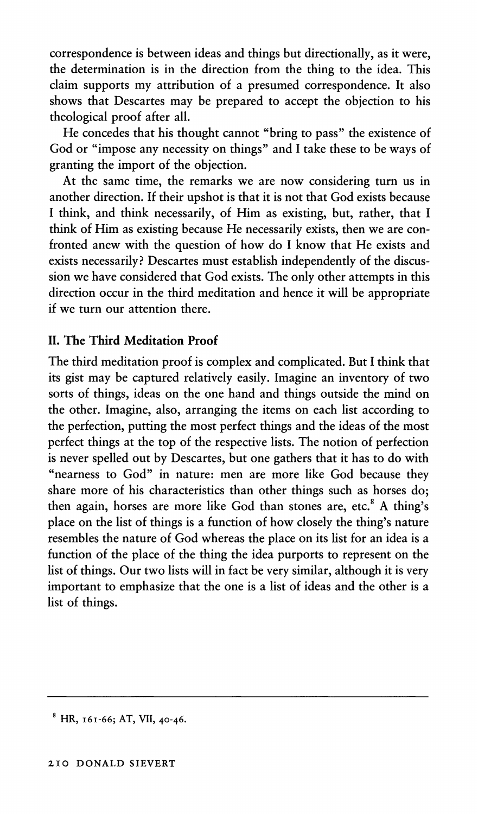**correspondence is between ideas and things but directionally, as it were, the determination is in the direction from the thing to the idea. This claim supports my attribution of a presumed correspondence. It also shows that Descartes may be prepared to accept the objection to his theological proof after all.** 

**He concedes that his thought cannot "bring to pass" the existence of God or "impose any necessity on things" and I take these to be ways of granting the import of the objection.** 

**At the same time, the remarks we are now considering turn us in another direction. If their upshot is that it is not that God exists because I think, and think necessarily, of Him as existing, but, rather, that I think of Him as existing because He necessarily exists, then we are confronted anew with the question of how do I know that He exists and exists necessarily? Descartes must establish independently of the discussion we have considered that God exists. The only other attempts in this direction occur in the third meditation and hence it will be appropriate if we turn our attention there.** 

# **II. The Third Meditation Proof**

**The third meditation proof is complex and complicated. But I think that its gist may be captured relatively easily. Imagine an inventory of two sorts of things, ideas on the one hand and things outside the mind on the other. Imagine, also, arranging the items on each list according to the perfection, putting the most perfect things and the ideas of the most perfect things at the top of the respective lists. The notion of perfection is never spelled out by Descartes, but one gathers that it has to do with "nearness to God" in nature: men are more like God because they share more of his characteristics than other things such as horses do;**  then again, horses are more like God than stones are, etc.<sup>8</sup> A thing's **place on the list of things is a function of how closely the thing's nature resembles the nature of God whereas the place on its list for an idea is a function of the place of the thing the idea purports to represent on the list of things. Our two lists will in fact be very similar, although it is very important to emphasize that the one is a list of ideas and the other is a list of things.** 

**<sup>8</sup>HR, i6i-66; AT, VII, 40-46.**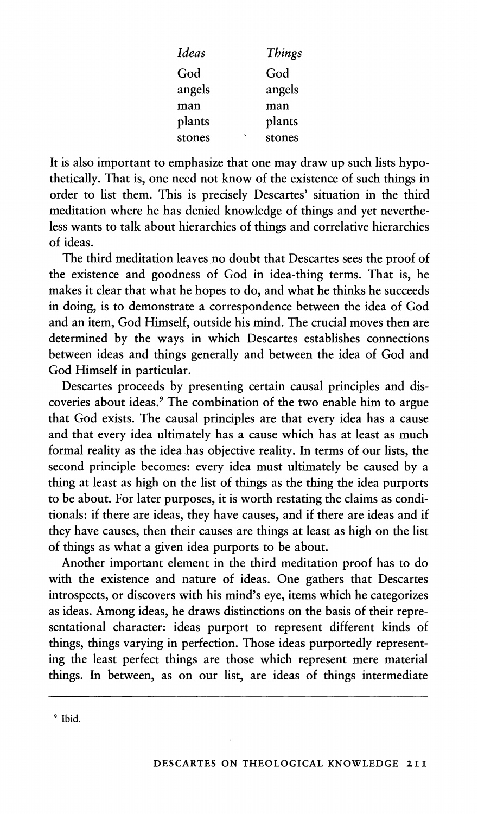| Ideas  |    | <b>Things</b> |
|--------|----|---------------|
| God    |    | God           |
| angels |    | angels        |
| man    |    | man           |
| plants |    | plants        |
| stones | ×. | stones        |

**It is also important to emphasize that one may draw up such lists hypothetically. That is, one need not know of the existence of such things in order to list them. This is precisely Descartes' situation in the third meditation where he has denied knowledge of things and yet nevertheless wants to talk about hierarchies of things and correlative hierarchies of ideas.** 

**The third meditation leaves no doubt that Descartes sees the proof of the existence and goodness of God in idea-thing terms. That is, he makes it clear that what he hopes to do, and what he thinks he succeeds in doing, is to demonstrate a correspondence between the idea of God and an item, God Himself, outside his mind. The crucial moves then are determined by the ways in which Descartes establishes connections between ideas and things generally and between the idea of God and God Himself in particular.** 

**Descartes proceeds by presenting certain causal principles and discoveries about ideas.9 The combination of the two enable him to argue that God exists. The causal principles are that every idea has a cause and that every idea ultimately has a cause which has at least as much formal reality as the idea has objective reality. In terms of our lists, the second principle becomes: every idea must ultimately be caused by a thing at least as high on the list of things as the thing the idea purports to be about. For later purposes, it is worth restating the claims as conditionals: if there are ideas, they have causes, and if there are ideas and if they have causes, then their causes are things at least as high on the list of things as what a given idea purports to be about.** 

**Another important element in the third meditation proof has to do with the existence and nature of ideas. One gathers that Descartes introspects, or discovers with his mind's eye, items which he categorizes as ideas. Among ideas, he draws distinctions on the basis of their representational character: ideas purport to represent different kinds of things, things varying in perfection. Those ideas purportedly representing the least perfect things are those which represent mere material things. In between, as on our list, are ideas of things intermediate** 

**<sup>9</sup> Ibid.**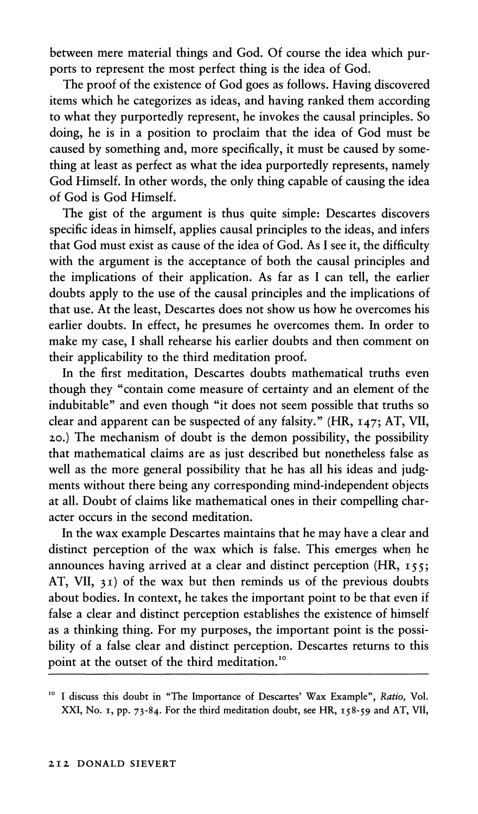**between mere material things and God. Of course the idea which purports to represent the most perfect thing is the idea of God.** 

**The proof of the existence of God goes as follows. Having discovered items which he categorizes as ideas, and having ranked them according to what they purportedly represent, he invokes the causal principles. So doing, he is in a position to proclaim that the idea of God must be caused by something and, more specifically, it must be caused by something at least as perfect as what the idea purportedly represents, namely God Himself. In other words, the only thing capable of causing the idea of God is God Himself.** 

**The gist of the argument is thus quite simple: Descartes discovers specific ideas in himself, applies causal principles to the ideas, and infers that God must exist as cause of the idea of God. As I see it, the difficulty with the argument is the acceptance of both the causal principles and the implications of their application. As far as I can tell, the earlier doubts apply to the use of the causal principles and the implications of that use. At the least, Descartes does not show us how he overcomes his earlier doubts. In effect, he presumes he overcomes them. In order to make my case, I shall rehearse his earlier doubts and then comment on their applicability to the third meditation proof.** 

**In the first meditation, Descartes doubts mathematical truths even though they "contain come measure of certainty and an element of the indubitable" and even though "it does not seem possible that truths so clear and apparent can be suspected of any falsity." (HR, 147; AT, VII, zo.) The mechanism of doubt is the demon possibility, the possibility that mathematical claims are as just described but nonetheless false as well as the more general possibility that he has all his ideas and judgments without there being any corresponding mind-independent objects at all. Doubt of claims like mathematical ones in their compelling character occurs in the second meditation.** 

**In the wax example Descartes maintains that he may have a clear and distinct perception of the wax which is false. This emerges when he announces having arrived at a clear and distinct perception (HR, 155; AT, VII, 31) of the wax but then reminds us of the previous doubts about bodies. In context, he takes the important point to be that even if false a clear and distinct perception establishes the existence of himself as a thinking thing. For my purposes, the important point is the possibility of a false clear and distinct perception. Descartes returns to this point at the outset of the third meditation.'0** 

**<sup>?</sup> I discuss this doubt in "The Importance of Descartes' Wax Example", Ratio, Vol. XXI, No. i, pp. 73-84. For the third meditation doubt, see HR, 158-59 and AT, VII,**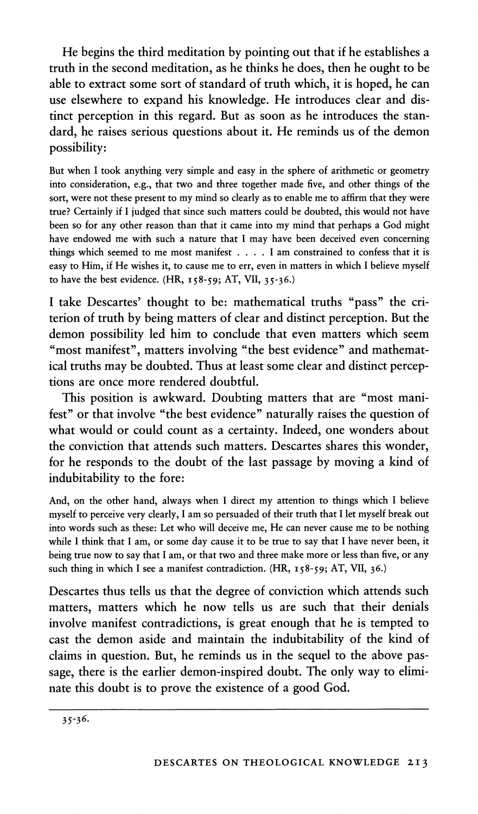**He begins the third meditation by pointing out that if he establishes a truth in the second meditation, as he thinks he does, then he ought to be able to extract some sort of standard of truth which, it is hoped, he can use elsewhere to expand his knowledge. He introduces clear and distinct perception in this regard. But as soon as he introduces the standard, he raises serious questions about it. He reminds us of the demon possibility:** 

**But when I took anything very simple and easy in the sphere of arithmetic or geometry into consideration, e.g., that two and three together made five, and other things of the sort, were not these present to my mind so clearly as to enable me to affirm that they were true? Certainly ifI judged that since such matters could be doubted, this would not have**  been so for any other reason than that it came into my mind that perhaps a God might **have endowed me with such a nature that I may have been deceived even concerning things which seemed to me most manifest .. . . I am constrained to confess that it is easy to Him, if He wishes it, to cause me to err, even in matters in which I believe myself to have the best evidence. (HR, 158-59; AT, VII, 35-36.)** 

**I take Descartes' thought to be: mathematical truths "pass" the criterion of truth by being matters of clear and distinct perception. But the demon possibility led him to conclude that even matters which seem "most manifest", matters involving "the best evidence" and mathematical truths may be doubted. Thus at least some clear and distinct perceptions are once more rendered doubtful.** 

**This position is awkward. Doubting matters that are "most manifest" or that involve "the best evidence" naturally raises the question of what would or could count as a certainty. Indeed, one wonders about the conviction that attends such matters. Descartes shares this wonder, for he responds to the doubt of the last passage by moving a kind of indubitability to the fore:** 

**And, on the other hand, always when I direct my attention to things which I believe myself to perceive very clearly, Iam so persuaded of their truth that I let myself break out into words such as these: Let who will deceive me, He can never cause me to be nothing while I think that I am, or some day cause it to be true to say that I have never been, it being true now to say that I am, or that two and three make more or less than five, or any such thing in which I see a manifest contradiction. (HR, 158-59; AT, VII, 36.)** 

**Descartes thus tells us that the degree of conviction which attends such matters, matters which he now tells us are such that their denials involve manifest contradictions, is great enough that he is tempted to cast the demon aside and maintain the indubitability of the kind of claims in question. But, he reminds us in the sequel to the above passage, there is the earlier demon-inspired doubt. The only way to eliminate this doubt is to prove the existence of a good God.**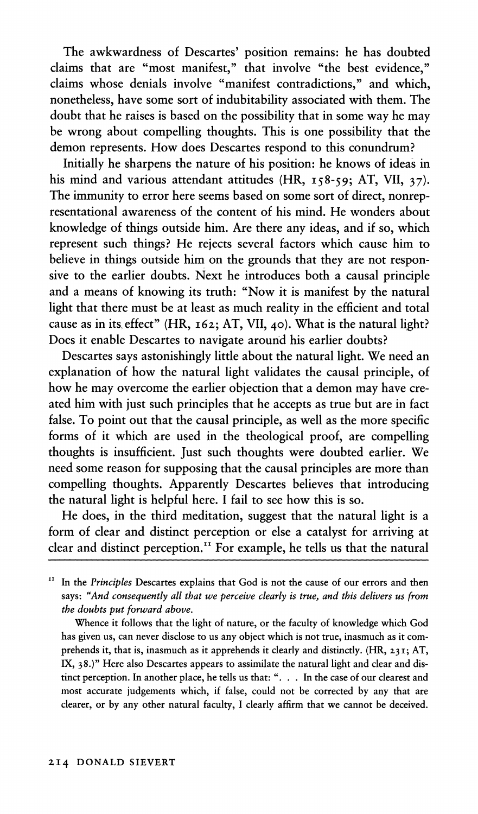**The awkwardness of Descartes' position remains: he has doubted claims that are "most manifest," that involve "the best evidence," claims whose denials involve "manifest contradictions," and which, nonetheless, have some sort of indubitability associated with them. The doubt that he raises is based on the possibility that in some way he may be wrong about compelling thoughts. This is one possibility that the demon represents. How does Descartes respond to this conundrum?** 

**Initially he sharpens the nature of his position: he knows of ideas in his mind and various attendant attitudes (HR, I58-59; AT, VII, 37). The immunity to error here seems based on some sort of direct, nonrepresentational awareness of the content of his mind. He wonders about knowledge of things outside him. Are there any ideas, and if so, which represent such things? He rejects several factors which cause him to believe in things outside him on the grounds that they are not responsive to the earlier doubts. Next he introduces both a causal principle and a means of knowing its truth: "Now it is manifest by the natural light that there must be at least as much reality in the efficient and total cause as in its, effect" (HR, i6z; AT, VII, 40). What is the natural light? Does it enable Descartes to navigate around his earlier doubts?** 

**Descartes says astonishingly little about the natural light. We need an explanation of how the natural light validates the causal principle, of how he may overcome the earlier objection that a demon may have created him with just such principles that he accepts as true but are in fact false. To point out that the causal principle, as well as the more specific forms of it which are used in the theological proof, are compelling thoughts is insufficient. Just such thoughts were doubted earlier. We need some reason for supposing that the causal principles are more than compelling thoughts. Apparently Descartes believes that introducing the natural light is helpful here. I fail to see how this is so.** 

**He does, in the third meditation, suggest that the natural light is a form of clear and distinct perception or else a catalyst for arriving at clear and distinct perception." For example, he tells us that the natural** 

**In the Principles Descartes explains that God is not the cause of our errors and then says: "And consequently all that we perceive clearly is true, and this delivers us from the doubts put forward above.** 

**Whence it follows that the light of nature, or the faculty of knowledge which God has given us, can never disclose to us any object which is not true, inasmuch as it comprehends it, that is, inasmuch as it apprehends it clearly and distinctly. (HR, Z3i; AT, IX, 38.)" Here also Descartes appears to assimilate the natural light and clear and distinct perception. In another place, he tells us that: ". . . In the case of our clearest and most accurate judgements which, if false, could not be corrected by any that are clearer, or by any other natural faculty, I clearly affirm that we cannot be deceived.**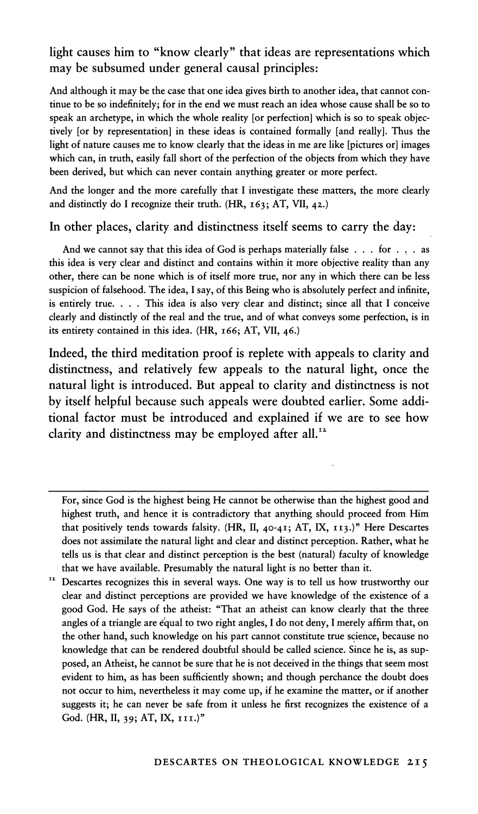# **light causes him to "know clearly" that ideas are representations which may be subsumed under general causal principles:**

**And although it may be the case that one idea gives birth to another idea, that cannot continue to be so indefinitely; for in the end we must reach an idea whose cause shall be so to speak an archetype, in which the whole reality [or perfection] which is so to speak objectively [or by representation] in these ideas is contained formally [and really]. Thus the light of nature causes me to know clearly that the ideas in me are like [pictures or] images which can, in truth, easily fall short of the perfection of the objects from which they have been derived, but which can never contain anything greater or more perfect.** 

**And the longer and the more carefully that I investigate these matters, the more clearly and distinctly do I recognize their truth. (HR, i63; AT, VII, 4z.)** 

**In other places, clarity and distinctness itself seems to carry the day:** 

And we cannot say that this idea of God is perhaps materially false . . . for . . . as **this idea is very clear and distinct and contains within it more objective reality than any other, there can be none which is of itself more true, nor any in which there can be less suspicion of falsehood. The idea, I say, of this Being who is absolutely perfect and infinite, is entirely true. . . . This idea is also very clear and distinct; since all that I conceive clearly and distinctly of the real and the true, and of what conveys some perfection, is in its entirety contained in this idea. (HR, i66; AT, VII, 46.)** 

**Indeed, the third meditation proof is replete with appeals to clarity and distinctness, and relatively few appeals to the natural light, once the natural light is introduced. But appeal to clarity and distinctness is not by itself helpful because such appeals were doubted earlier. Some additional factor must be introduced and explained if we are to see how clarity and distinctness may be employed after all.'2** 

**For, since God is the highest being He cannot be otherwise than the highest good and highest truth, and hence it is contradictory that anything should proceed from Him that positively tends towards falsity. (HR, II, 40-41; AT, IX, II3.)" Here Descartes does not assimilate the natural light and clear and distinct perception. Rather, what he tells us is that clear and distinct perception is the best (natural) faculty of knowledge that we have available. Presumably the natural light is no better than it.** 

<sup>12</sup> **Descartes recognizes this in several ways. One way is to tell us how trustworthy our clear and distinct perceptions are provided we have knowledge of the existence of a good God. He says of the atheist: "That an atheist can know clearly that the three angles of a triangle are equal to two right angles, I do not deny, I merely affirm that, on the other hand, such knowledge on his part cannot constitute true science, because no knowledge that can be rendered doubtful should be called science. Since he is, as supposed, an Atheist, he cannot be sure that he is not deceived in the things that seem most evident to him, as has been sufficiently shown; and though perchance the doubt does not occur to him, nevertheless it may come up, if he examine the matter, or if another suggests it; he can never be safe from it unless he first recognizes the existence of a God. (HR, II, 39; AT, IX, iii.)"**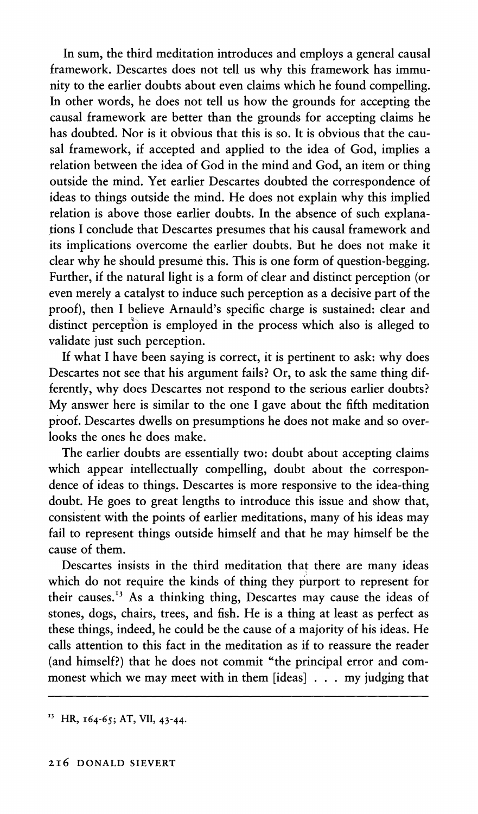**In sum, the third meditation introduces and employs a general causal framework. Descartes does not tell us why this framework has immunity to the earlier doubts about even claims which he found compelling. In other words, he does not tell us how the grounds for accepting the causal framework are better than the grounds for accepting claims he has doubted. Nor is it obvious that this is so. It is obvious that the causal framework, if accepted and applied to the idea of God, implies a relation between the idea of God in the mind and God, an item or thing outside the mind. Yet earlier Descartes doubted the correspondence of ideas to things outside the mind. He does not explain why this implied relation is above those earlier doubts. In the absence of such explanations I conclude that Descartes presumes that his causal framework and its implications overcome the earlier doubts. But he does not make it clear why he should presume this. This is one form of question-begging. Further, if the natural light is a form of clear and distinct perception (or even merely a catalyst to induce such perception as a decisive part of the proof), then I believe Arnauld's specific charge is sustained: clear and distinct perception is employed in the process which also is alleged to validate just such perception.** 

**If what I have been saying is correct, it is pertinent to ask: why does Descartes not see that his argument fails? Or, to ask the same thing differently, why does Descartes not respond to the serious earlier doubts? My answer here is similar to the one I gave about the fifth meditation proof. Descartes dwells on presumptions he does not make and so overlooks the ones he does make.** 

**The earlier doubts are essentially two: doubt about accepting claims which appear intellectually compelling, doubt about the correspondence of ideas to things. Descartes is more responsive to the idea-thing doubt. He goes to great lengths to introduce this issue and show that, consistent with the points of earlier meditations, many of his ideas may fail to represent things outside himself and that he may himself be the cause of them.** 

**Descartes insists in the third meditation that there are many ideas which do not require the kinds of thing they purport to represent for their causes.'3 As a thinking thing, Descartes may cause the ideas of stones, dogs, chairs, trees, and fish. He is a thing at least as perfect as these things, indeed, he could be the cause of a majority of his ideas. He calls attention to this fact in the meditation as if to reassure the reader (and himself?) that he does not commit "the principal error and commonest which we may meet with in them [ideas] . . . my judging that** 

**<sup>13</sup>HR, i64-65; AT, VII, 43-44.**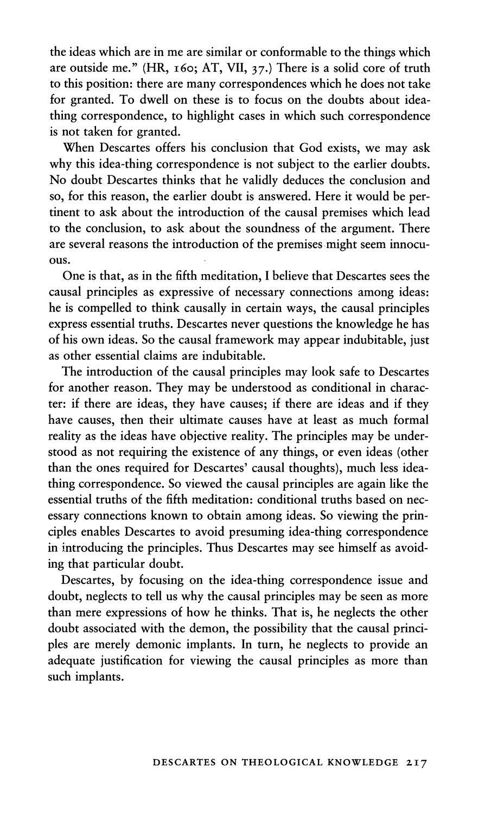**the ideas which are in me are similar or conformable to the things which are outside me." (HR, i 6o; AT, VII, 37.) There is a solid core of truth to this position: there are many correspondences which he does not take for granted. To dwell on these is to focus on the doubts about ideathing correspondence, to highlight cases in which such correspondence is not taken for granted.** 

**When Descartes offers his conclusion that God exists, we may ask why this idea-thing correspondence is not subject to the earlier doubts. No doubt Descartes thinks that he validly deduces the conclusion and so, for this reason, the earlier doubt is answered. Here it would be pertinent to ask about the introduction of the causal premises which lead to the conclusion, to ask about the soundness of the argument. There are several reasons the introduction of the premises might seem innocuous.** 

**One is that, as in the fifth meditation, I believe that Descartes sees the causal principles as expressive of necessary connections among ideas: he is compelled to think causally in certain ways, the causal principles express essential truths. Descartes never questions the knowledge he has of his own ideas. So the causal framework may appear indubitable, just as other essential claims are indubitable.** 

**The introduction of the causal principles may look safe to Descartes for another reason. They may be understood as conditional in character: if there are ideas, they have causes; if there are ideas and if they have causes, then their ultimate causes have at least as much formal reality as the ideas have objective reality. The principles may be understood as not requiring the existence of any things, or even ideas (other than the ones required for Descartes' causal thoughts), much less ideathing correspondence. So viewed the causal principles are again like the essential truths of the fifth meditation: conditional truths based on necessary connections known to obtain among ideas. So viewing the principles enables Descartes to avoid presuming idea-thing correspondence in introducing the principles. Thus Descartes may see himself as avoiding that particular doubt.** 

**Descartes, by focusing on the idea-thing correspondence issue and doubt, neglects to tell us why the causal principles may be seen as more than mere expressions of how he thinks. That is, he neglects the other doubt associated with the demon, the possibility that the causal principles are merely demonic implants. In turn, he neglects to provide an adequate justification for viewing the causal principles as more than such implants.**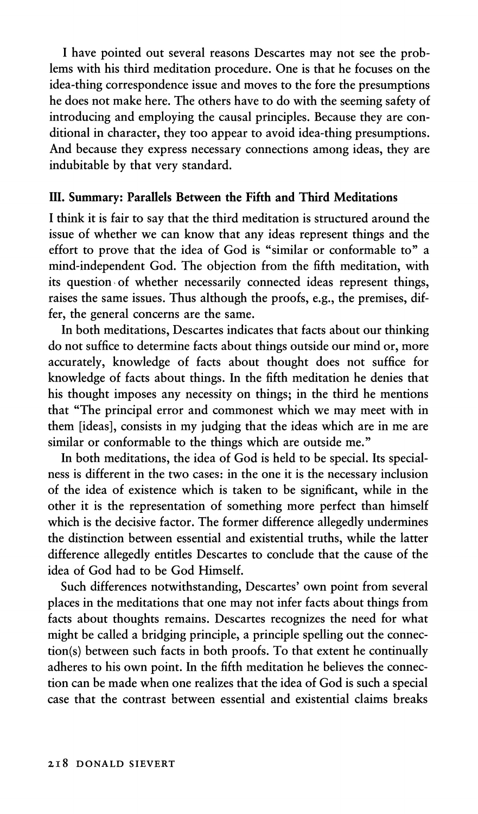**I have pointed out several reasons Descartes may not see the problems with his third meditation procedure. One is that he focuses on the idea-thing correspondence issue and moves to the fore the presumptions he does not make here. The others have to do with the seeming safety of introducing and employing the causal principles. Because they are conditional in character, they too appear to avoid idea-thing presumptions. And because they express necessary connections among ideas, they are indubitable by that very standard.** 

#### **III. Summary: Parallels Between the Fifth and Third Meditations**

**I think it is fair to say that the third meditation is structured around the issue of whether we can know that any ideas represent things and the effort to prove that the idea of God is "similar or conformable to" a mind-independent God. The objection from the fifth meditation, with its question of whether necessarily connected ideas represent things, raises the same issues. Thus although the proofs, e.g., the premises, differ, the general concerns are the same.** 

**In both meditations, Descartes indicates that facts about our thinking do not suffice to determine facts about things outside our mind or, more accurately, knowledge of facts about thought does not suffice for knowledge of facts about things. In the fifth meditation he denies that his thought imposes any necessity on things; in the third he mentions that "The principal error and commonest which we may meet with in them [ideas], consists in my judging that the ideas which are in me are similar or conformable to the things which are outside me."** 

**In both meditations, the idea of God is held to be special. Its specialness is different in the two cases: in the one it is the necessary inclusion of the idea of existence which is taken to be significant, while in the other it is the representation of something more perfect than himself which is the decisive factor. The former difference allegedly undermines the distinction between essential and existential truths, while the latter difference allegedly entitles Descartes to conclude that the cause of the idea of God had to be God Himself.** 

**Such differences notwithstanding, Descartes' own point from several places in the meditations that one may not infer facts about things from facts about thoughts remains. Descartes recognizes the need for what might be called a bridging principle, a principle spelling out the connection(s) between such facts in both proofs. To that extent he continually adheres to his own point. In the fifth meditation he believes the connection can be made when one realizes that the idea of God is such a special case that the contrast between essential and existential claims breaks**